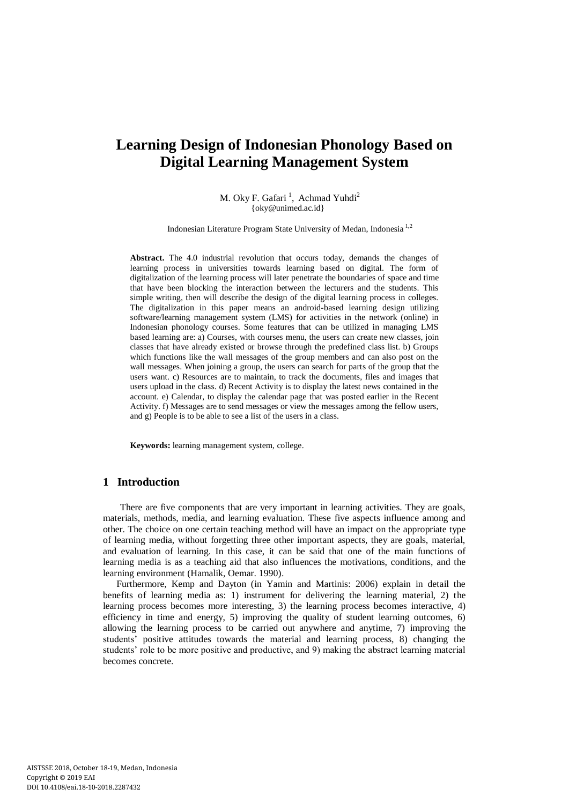# **Learning Design of Indonesian Phonology Based on Digital Learning Management System**

M. Oky F. Gafari<sup>1</sup>, Achmad Yuhdi<sup>2</sup> [{oky@unimed.ac.id}](mailto:oky@unimed.ac.id)

Indonesian Literature Program State University of Medan, Indonesia 1,2

**Abstract.** The 4.0 industrial revolution that occurs today, demands the changes of learning process in universities towards learning based on digital. The form of digitalization of the learning process will later penetrate the boundaries of space and time that have been blocking the interaction between the lecturers and the students. This simple writing, then will describe the design of the digital learning process in colleges. The digitalization in this paper means an android-based learning design utilizing software/learning management system (LMS) for activities in the network (online) in Indonesian phonology courses. Some features that can be utilized in managing LMS based learning are: a) Courses, with courses menu, the users can create new classes, join classes that have already existed or browse through the predefined class list. b) Groups which functions like the wall messages of the group members and can also post on the wall messages. When joining a group, the users can search for parts of the group that the users want. c) Resources are to maintain, to track the documents, files and images that users upload in the class. d) Recent Activity is to display the latest news contained in the account. e) Calendar, to display the calendar page that was posted earlier in the Recent Activity. f) Messages are to send messages or view the messages among the fellow users, and g) People is to be able to see a list of the users in a class.

**Keywords:** learning management system, college.

### **1 Introduction**

There are five components that are very important in learning activities. They are goals, materials, methods, media, and learning evaluation. These five aspects influence among and other. The choice on one certain teaching method will have an impact on the appropriate type of learning media, without forgetting three other important aspects, they are goals, material, and evaluation of learning. In this case, it can be said that one of the main functions of learning media is as a teaching aid that also influences the motivations, conditions, and the learning environment (Hamalik, Oemar. 1990).

Furthermore, Kemp and Dayton (in Yamin and Martinis: 2006) explain in detail the benefits of learning media as: 1) instrument for delivering the learning material, 2) the learning process becomes more interesting, 3) the learning process becomes interactive, 4) efficiency in time and energy, 5) improving the quality of student learning outcomes, 6) allowing the learning process to be carried out anywhere and anytime, 7) improving the students' positive attitudes towards the material and learning process, 8) changing the students' role to be more positive and productive, and 9) making the abstract learning material becomes concrete.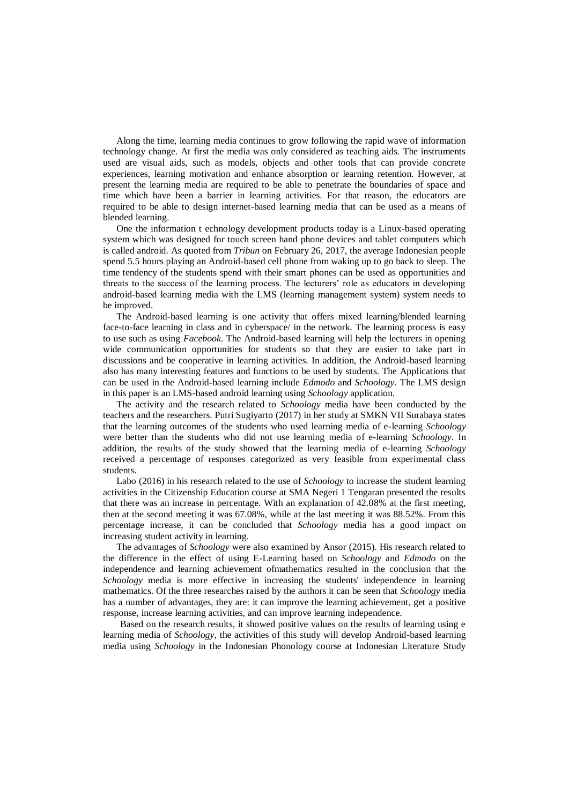Along the time, learning media continues to grow following the rapid wave of information technology change. At first the media was only considered as teaching aids. The instruments used are visual aids, such as models, objects and other tools that can provide concrete experiences, learning motivation and enhance absorption or learning retention. However, at present the learning media are required to be able to penetrate the boundaries of space and time which have been a barrier in learning activities. For that reason, the educators are required to be able to design internet-based learning media that can be used as a means of blended learning.

One the information t echnology development products today is a Linux-based operating system which was designed for touch screen hand phone devices and tablet computers which is called android. As quoted from *Tribun* on February 26, 2017, the average Indonesian people spend 5.5 hours playing an Android-based cell phone from waking up to go back to sleep. The time tendency of the students spend with their smart phones can be used as opportunities and threats to the success of the learning process. The lecturers' role as educators in developing android-based learning media with the LMS (learning management system) system needs to be improved.

The Android-based learning is one activity that offers mixed learning/blended learning face-to-face learning in class and in cyberspace/ in the network. The learning process is easy to use such as using *Facebook*. The Android-based learning will help the lecturers in opening wide communication opportunities for students so that they are easier to take part in discussions and be cooperative in learning activities. In addition, the Android-based learning also has many interesting features and functions to be used by students. The Applications that can be used in the Android-based learning include *Edmodo* and *Schoology*. The LMS design in this paper is an LMS-based android learning using *Schoology* application.

The activity and the research related to *Schoology* media have been conducted by the teachers and the researchers. Putri Sugiyarto (2017) in her study at SMKN VII Surabaya states that the learning outcomes of the students who used learning media of e-learning *Schoology* were better than the students who did not use learning media of e-learning *Schoology*. In addition, the results of the study showed that the learning media of e-learning *Schoology* received a percentage of responses categorized as very feasible from experimental class students.

Labo (2016) in his research related to the use of *Schoology* to increase the student learning activities in the Citizenship Education course at SMA Negeri 1 Tengaran presented the results that there was an increase in percentage. With an explanation of 42.08% at the first meeting, then at the second meeting it was 67.08%, while at the last meeting it was 88.52%. From this percentage increase, it can be concluded that *Schoology* media has a good impact on increasing student activity in learning.

The advantages of *Schoology* were also examined by Ansor (2015). His research related to the difference in the effect of using E-Learning based on *Schoology* and *Edmodo* on the independence and learning achievement ofmathematics resulted in the conclusion that the *Schoology* media is more effective in increasing the students' independence in learning mathematics. Of the three researches raised by the authors it can be seen that *Schoology* media has a number of advantages, they are: it can improve the learning achievement, get a positive response, increase learning activities, and can improve learning independence.

Based on the research results, it showed positive values on the results of learning using e learning media of *Schoology*, the activities of this study will develop Android-based learning media using *Schoology* in the Indonesian Phonology course at Indonesian Literature Study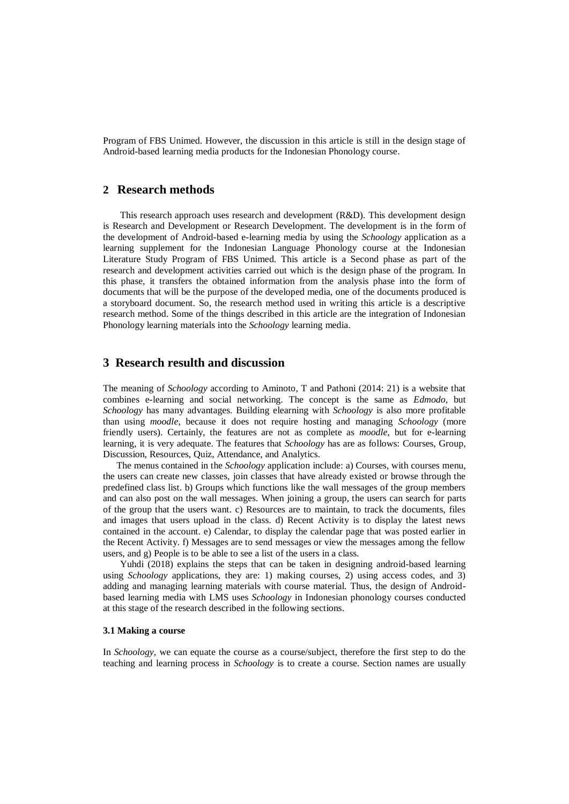Program of FBS Unimed. However, the discussion in this article is still in the design stage of Android-based learning media products for the Indonesian Phonology course.

## **2 Research methods**

This research approach uses research and development (R&D). This development design is Research and Development or Research Development. The development is in the form of the development of Android-based e-learning media by using the *Schoology* application as a learning supplement for the Indonesian Language Phonology course at the Indonesian Literature Study Program of FBS Unimed. This article is a Second phase as part of the research and development activities carried out which is the design phase of the program. In this phase, it transfers the obtained information from the analysis phase into the form of documents that will be the purpose of the developed media, one of the documents produced is a storyboard document. So, the research method used in writing this article is a descriptive research method. Some of the things described in this article are the integration of Indonesian Phonology learning materials into the *Schoology* learning media.

# **3 Research resulth and discussion**

The meaning of *Schoology* according to Aminoto, T and Pathoni (2014: 21) is a website that combines e-learning and social networking. The concept is the same as *Edmodo*, but *Schoology* has many advantages. Building elearning with *Schoology* is also more profitable than using *moodle*, because it does not require hosting and managing *Schoology* (more friendly users). Certainly, the features are not as complete as *moodle*, but for e-learning learning, it is very adequate. The features that *Schoology* has are as follows: Courses, Group, Discussion, Resources, Quiz, Attendance, and Analytics.

The menus contained in the *Schoology* application include: a) Courses, with courses menu, the users can create new classes, join classes that have already existed or browse through the predefined class list. b) Groups which functions like the wall messages of the group members and can also post on the wall messages. When joining a group, the users can search for parts of the group that the users want. c) Resources are to maintain, to track the documents, files and images that users upload in the class. d) Recent Activity is to display the latest news contained in the account. e) Calendar, to display the calendar page that was posted earlier in the Recent Activity. f) Messages are to send messages or view the messages among the fellow users, and g) People is to be able to see a list of the users in a class.

Yuhdi (2018) explains the steps that can be taken in designing android-based learning using *Schoology* applications, they are: 1) making courses, 2) using access codes, and 3) adding and managing learning materials with course material. Thus, the design of Androidbased learning media with LMS uses *Schoology* in Indonesian phonology courses conducted at this stage of the research described in the following sections.

#### **3.1 Making a course**

In *Schoology*, we can equate the course as a course/subject, therefore the first step to do the teaching and learning process in *Schoology* is to create a course. Section names are usually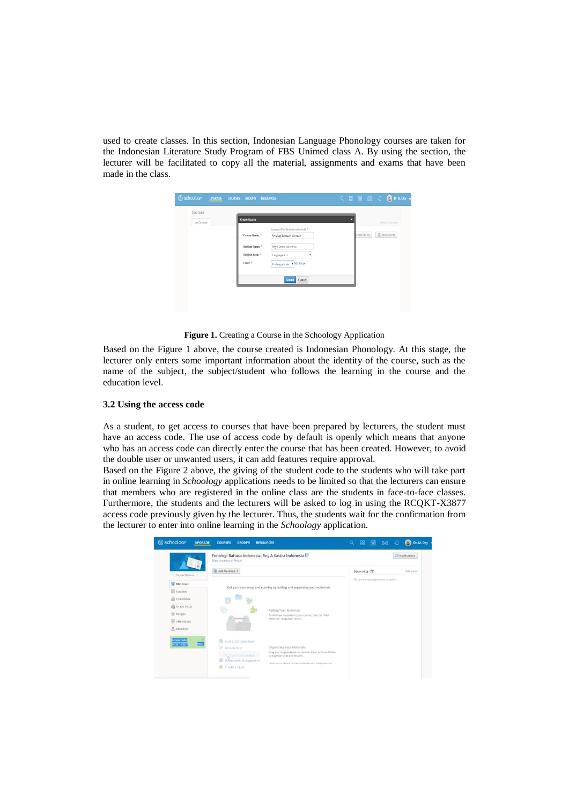used to create classes. In this section, Indonesian Language Phonology courses are taken for the Indonesian Literature Study Program of FBS Unimed class A. By using the section, the lecturer will be facilitated to copy all the material, assignments and exams that have been made in the class.

| S schoology<br><b>UPGRADE</b> | <b>COURSES</b><br><b>GROUPS</b><br><b>RESOURCES</b>                                                                    |                                                          |
|-------------------------------|------------------------------------------------------------------------------------------------------------------------|----------------------------------------------------------|
| Courses<br>My Courses         | <b>Create Course</b><br>You must fill in the fields marked with *<br>Course Name: *<br>Fonologi Bahasa Indonesia       | ×<br>Deleted Courses<br>S Join a Course<br>Treate Course |
|                               | Section Name: *<br>Reg A Sastra Indonesia<br>Subject Area: "<br>Language Arts<br>Level: *<br>Undergraduate v Add Range |                                                          |
|                               | Cancel<br>Create                                                                                                       |                                                          |

**Figure 1.** Creating a Course in the Schoology Application

Based on the Figure 1 above, the course created is Indonesian Phonology. At this stage, the lecturer only enters some important information about the identity of the course, such as the name of the subject, the subject/student who follows the learning in the course and the education level.

## **3.2 Using the access code**

As a student, to get access to courses that have been prepared by lecturers, the student must have an access code. The use of access code by default is openly which means that anyone who has an access code can directly enter the course that has been created. However, to avoid the double user or unwanted users, it can add features require approval.

Based on the Figure 2 above, the giving of the student code to the students who will take part in online learning in *Schoology* applications needs to be limited so that the lecturers can ensure that members who are registered in the online class are the students in face-to-face classes. Furthermore, the students and the lecturers will be asked to log in using the RCQKT-X3877 access code previously given by the lecturer. Thus, the students wait for the confirmation from the lecturer to enter into online learning in the *Schoology* application.

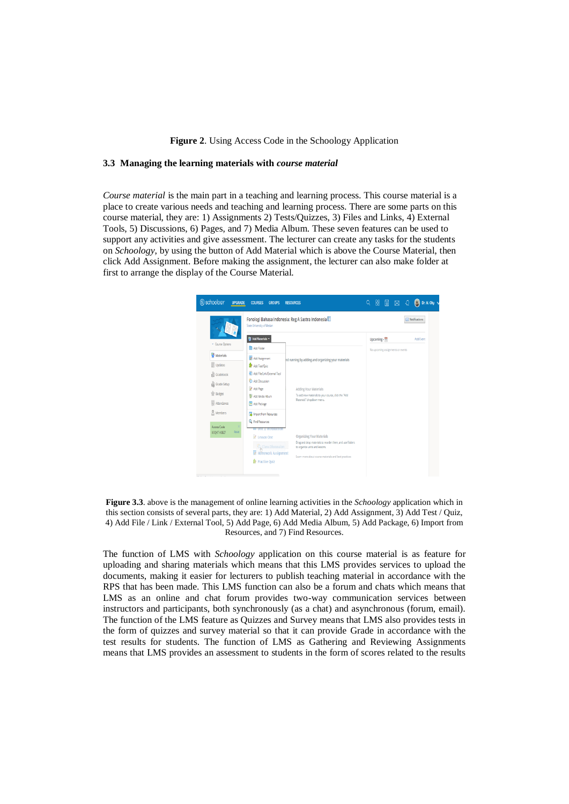#### **Figure 2**. Using Access Code in the Schoology Application

#### **3.3 Managing the learning materials with** *course material*

*Course material* is the main part in a teaching and learning process. This course material is a place to create various needs and teaching and learning process. There are some parts on this course material, they are: 1) Assignments 2) Tests/Quizzes, 3) Files and Links, 4) External Tools, 5) Discussions, 6) Pages, and 7) Media Album. These seven features can be used to support any activities and give assessment. The lecturer can create any tasks for the students on *Schoology*, by using the button of Add Material which is above the Course Material, then click Add Assignment. Before making the assignment, the lecturer can also make folder at first to arrange the display of the Course Material.



**Figure 3.3**. above is the management of online learning activities in the *Schoology* application which in this section consists of several parts, they are: 1) Add Material, 2) Add Assignment, 3) Add Test / Quiz, 4) Add File / Link / External Tool, 5) Add Page, 6) Add Media Album, 5) Add Package, 6) Import from Resources, and 7) Find Resources.

The function of LMS with *Schoology* application on this course material is as feature for uploading and sharing materials which means that this LMS provides services to upload the documents, making it easier for lecturers to publish teaching material in accordance with the RPS that has been made. This LMS function can also be a forum and chats which means that LMS as an online and chat forum provides two-way communication services between instructors and participants, both synchronously (as a chat) and asynchronous (forum, email). The function of the LMS feature as Quizzes and Survey means that LMS also provides tests in the form of quizzes and survey material so that it can provide Grade in accordance with the test results for students. The function of LMS as Gathering and Reviewing Assignments means that LMS provides an assessment to students in the form of scores related to the results